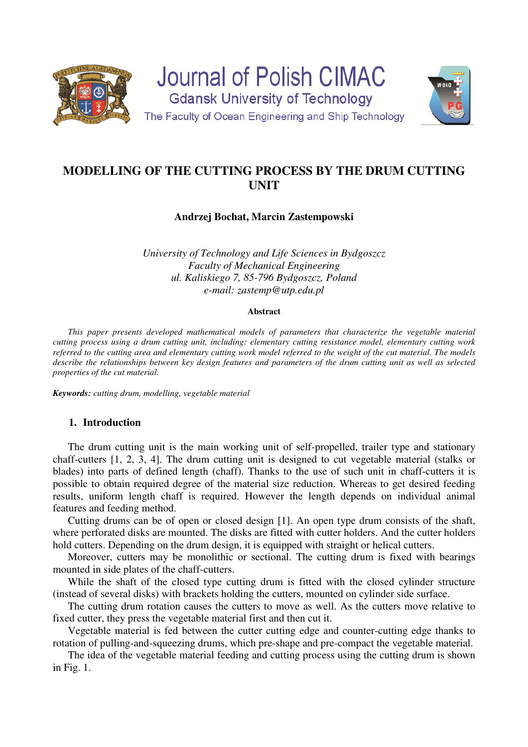



# **MODELLING OF THE CUTTING PROCESS BY THE DRUM CUTTING UNIT**

# **Andrzej Bochat, Marcin Zastempowski**

*University of Technology and Life Sciences in Bydgoszcz Faculty of Mechanical Engineering ul. Kaliskiego 7, 85-796 Bydgoszcz, Poland e-mail: zastemp@utp.edu.pl* 

#### **Abstract**

*This paper presents developed mathematical models of parameters that characterize the vegetable material cutting process using a drum cutting unit, including: elementary cutting resistance model, elementary cutting work referred to the cutting area and elementary cutting work model referred to the weight of the cut material. The models describe the relationships between key design features and parameters of the drum cutting unit as well as selected properties of the cut material.* 

*Keywords: cutting drum, modelling, vegetable material* 

## **1. Introduction**

The drum cutting unit is the main working unit of self-propelled, trailer type and stationary chaff-cutters [1, 2, 3, 4]. The drum cutting unit is designed to cut vegetable material (stalks or blades) into parts of defined length (chaff). Thanks to the use of such unit in chaff-cutters it is possible to obtain required degree of the material size reduction. Whereas to get desired feeding results, uniform length chaff is required. However the length depends on individual animal features and feeding method.

Cutting drums can be of open or closed design [1]. An open type drum consists of the shaft, where perforated disks are mounted. The disks are fitted with cutter holders. And the cutter holders hold cutters. Depending on the drum design, it is equipped with straight or helical cutters.

Moreover, cutters may be monolithic or sectional. The cutting drum is fixed with bearings mounted in side plates of the chaff-cutters.

While the shaft of the closed type cutting drum is fitted with the closed cylinder structure (instead of several disks) with brackets holding the cutters, mounted on cylinder side surface.

The cutting drum rotation causes the cutters to move as well. As the cutters move relative to fixed cutter, they press the vegetable material first and then cut it.

Vegetable material is fed between the cutter cutting edge and counter-cutting edge thanks to rotation of pulling-and-squeezing drums, which pre-shape and pre-compact the vegetable material.

The idea of the vegetable material feeding and cutting process using the cutting drum is shown in Fig. 1.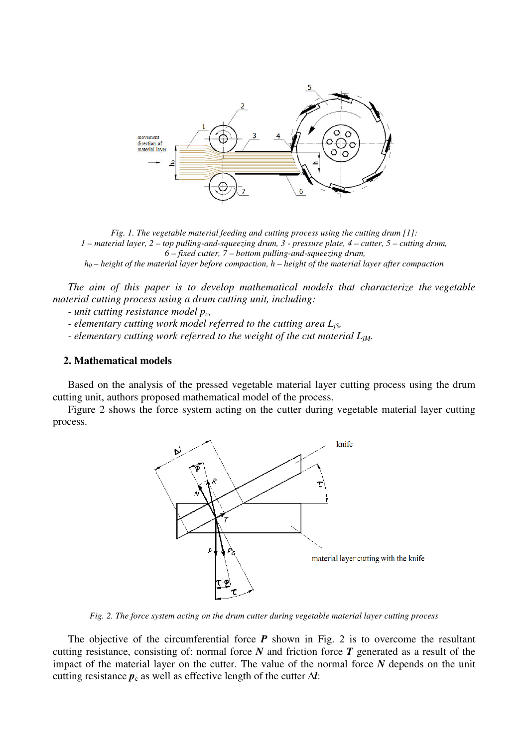

*Fig. 1. The vegetable material feeding and cutting process using the cutting drum [1]: 1 – material layer, 2 – top pulling-and-squeezing drum, 3 - pressure plate, 4 – cutter, 5 – cutting drum, 6 – fixed cutter, 7 – bottom pulling-and-squeezing drum,*

*h0 – height of the material layer before compaction, h – height of the material layer after compaction*

*The aim of this paper is to develop mathematical models that characterize the vegetable material cutting process using a drum cutting unit, including:* 

*- unit cutting resistance model pc,* 

- *elementary cutting work model referred to the cutting area LjS,*
- *elementary cutting work referred to the weight of the cut material LjM.*

#### **2. Mathematical models**

Based on the analysis of the pressed vegetable material layer cutting process using the drum cutting unit, authors proposed mathematical model of the process.

Figure 2 shows the force system acting on the cutter during vegetable material layer cutting process.



*Fig. 2. The force system acting on the drum cutter during vegetable material layer cutting process*

The objective of the circumferential force  $P$  shown in Fig. 2 is to overcome the resultant cutting resistance, consisting of: normal force *N* and friction force *T* generated as a result of the impact of the material layer on the cutter. The value of the normal force *N* depends on the unit cutting resistance  $p_c$  as well as effective length of the cutter  $\Delta l$ :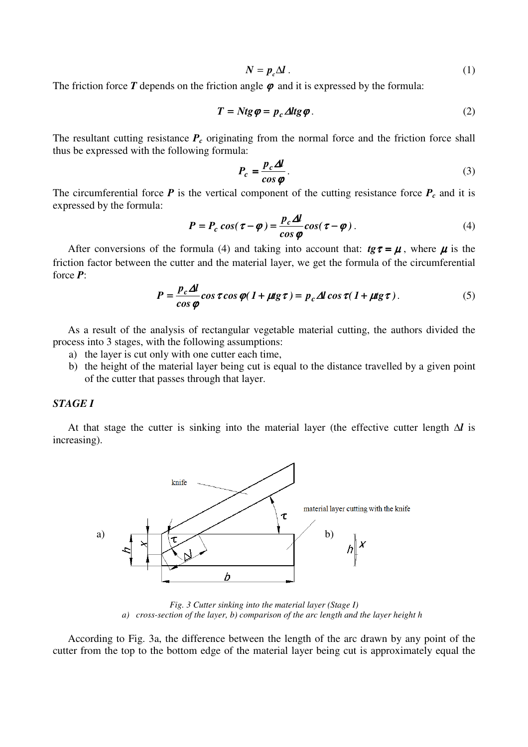$$
N = p_c \Delta l \tag{1}
$$

The friction force  $T$  depends on the friction angle  $\varphi$  and it is expressed by the formula:

$$
T = Ntg\varphi = p_c \Delta ltg\varphi. \tag{2}
$$

The resultant cutting resistance  $P_c$  originating from the normal force and the friction force shall thus be expressed with the following formula:

$$
P_c = \frac{p_c \Delta l}{\cos \varphi}.
$$
 (3)

The circumferential force  $P$  is the vertical component of the cutting resistance force  $P_c$  and it is expressed by the formula:

$$
P = P_c \cos(\tau - \varphi) = \frac{p_c \Delta l}{\cos \varphi} \cos(\tau - \varphi) \,. \tag{4}
$$

After conversions of the formula (4) and taking into account that:  $t\mathfrak{g}\tau = \mu$ , where  $\mu$  is the friction factor between the cutter and the material layer, we get the formula of the circumferential force *P*:

$$
P = \frac{p_c \Delta l}{\cos \varphi} \cos \tau \cos \varphi (1 + \mu \mathrm{g} \tau) = p_c \Delta l \cos \tau (1 + \mu \mathrm{g} \tau). \tag{5}
$$

As a result of the analysis of rectangular vegetable material cutting, the authors divided the process into 3 stages, with the following assumptions:

- a) the layer is cut only with one cutter each time,
- b) the height of the material layer being cut is equal to the distance travelled by a given point of the cutter that passes through that layer.

# *STAGE I*

At that stage the cutter is sinking into the material layer (the effective cutter length *∆l* is increasing).



*Fig. 3 Cutter sinking into the material layer (Stage I) a) cross-section of the layer, b) comparison of the arc length and the layer height h* 

According to Fig. 3a, the difference between the length of the arc drawn by any point of the cutter from the top to the bottom edge of the material layer being cut is approximately equal the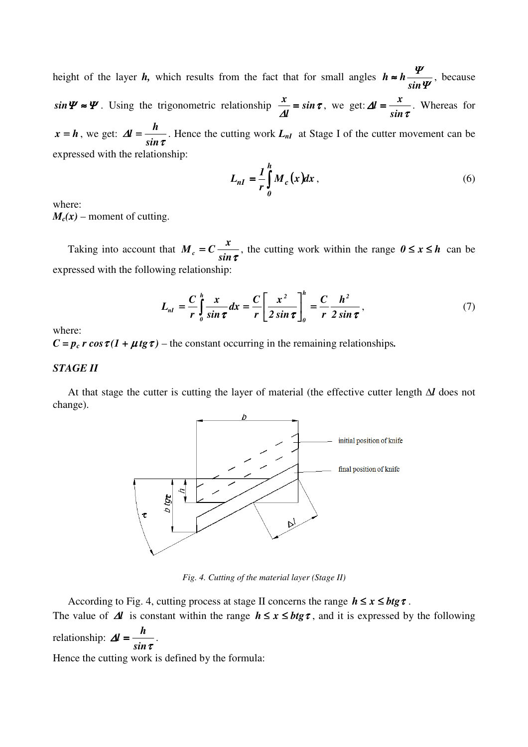height of the layer *h*, which results from the fact that for small angles  $h \approx h \frac{1}{\sin \Psi}$ Ψ *sin*  $h \approx h \frac{1}{h}$ , because  $sin \Psi \approx \Psi$ . Using the trigonometric relationship  $\frac{\pi}{\Delta l} = sin \tau$ *l*  $\frac{x}{\Delta l} = \sin \tau$ , we get:  $\Delta l = \frac{x}{\sin \tau}$ ∆ *sin*  $l = \frac{x}{l}$ . Whereas for  $x = h$ , we get:  $\Delta l = \frac{h}{\sin \tau}$ ∆ *sin*  $l = \frac{h}{l}$ . Hence the cutting work  $L_{nl}$  at Stage I of the cutter movement can be expressed with the relationship:

$$
L_{nI} = \frac{1}{r} \int_{0}^{h} M_c(x) dx , \qquad (6)
$$

where:  $M_c(x)$  – moment of cutting.

Taking into account that  $M_c = C \frac{x}{\sin \tau}$ , the cutting work within the range  $0 \le x \le h$  can be expressed with the following relationship:

$$
L_{nl} = \frac{C}{r} \int_0^h \frac{x}{\sin \tau} dx = \frac{C}{r} \left[ \frac{x^2}{2 \sin \tau} \right]_0^h = \frac{C}{r} \frac{h^2}{2 \sin \tau},
$$
(7)

where:

 $C = p_c r \cos \tau (1 + \mu t g \tau)$  – the constant occurring in the remaining relationships.

## *STAGE II*

At that stage the cutter is cutting the layer of material (the effective cutter length *∆l* does not change).



*Fig. 4. Cutting of the material layer (Stage II)*

According to Fig. 4, cutting process at stage II concerns the range  $h \le x \le b$ tg  $\tau$ .

The value of  $\Delta l$  is constant within the range  $h \le x \le b$ tg $\tau$ , and it is expressed by the following  $l = \frac{h}{l}$ .

relationship:  $\Delta l = \frac{n}{\sin \tau}$ ∆ *sin* Hence the cutting work is defined by the formula: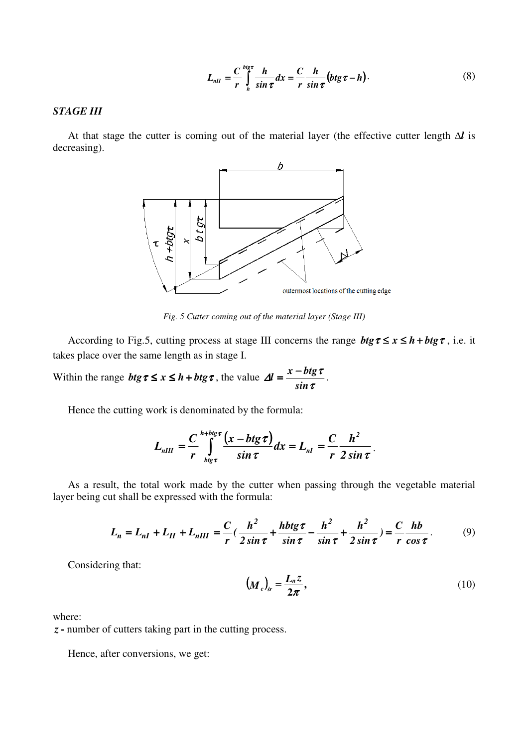$$
L_{nII} = \frac{C}{r} \int_{h}^{big\tau} \frac{h}{\sin \tau} dx = \frac{C}{r} \frac{h}{\sin \tau} \left(btg\,\tau - h\right). \tag{8}
$$

# *STAGE III*

At that stage the cutter is coming out of the material layer (the effective cutter length *∆l* is decreasing).



*Fig. 5 Cutter coming out of the material layer (Stage III)*

According to Fig.5, cutting process at stage III concerns the range  $btg\tau \leq x \leq h + btg\tau$ , i.e. it takes place over the same length as in stage I.

Within the range  $btg\tau \leq x \leq h + btg\tau$ , the value  $\Delta l = \frac{x - bx}{\sin \tau}$  $\Delta l = \frac{x - b t g \tau}{2}$ *sin*  $l = \frac{x - b t g \tau}{l}$ .

Hence the cutting work is denominated by the formula:

$$
L_{nIII} = \frac{C}{r} \int_{blg\tau}^{h+big\tau} \frac{(x-btg\tau)}{\sin \tau} dx = L_{nI} = \frac{C}{r} \frac{h^2}{2 \sin \tau}.
$$

As a result, the total work made by the cutter when passing through the vegetable material layer being cut shall be expressed with the formula:

$$
L_n = L_{nI} + L_{II} + L_{nIII} = \frac{C}{r} \left( \frac{h^2}{2 \sin \tau} + \frac{h b t g \tau}{\sin \tau} - \frac{h^2}{\sin \tau} + \frac{h^2}{2 \sin \tau} \right) = \frac{C}{r} \frac{h b}{\cos \tau}.
$$
 (9)

Considering that:

$$
\left(M_c\right)_{sr} = \frac{L_n z}{2\pi},\tag{10}
$$

where:

*z***-** number of cutters taking part in the cutting process.

Hence, after conversions, we get: